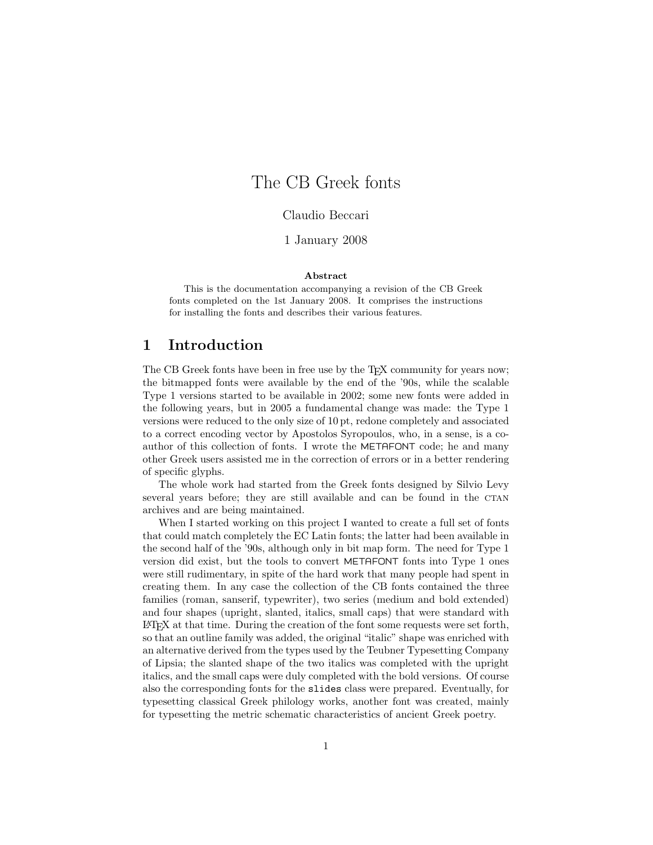# The CB Greek fonts

Claudio Beccari

1 January 2008

#### **Abstract**

This is the documentation accompanying a revision of the CB Greek fonts completed on the 1st January 2008. It comprises the instructions for installing the fonts and describes their various features.

# **1 Introduction**

The CB Greek fonts have been in free use by the T<sub>E</sub>X community for years now; the bitmapped fonts were available by the end of the '90s, while the scalable Type 1 versions started to be available in 2002; some new fonts were added in the following years, but in 2005 a fundamental change was made: the Type 1 versions were reduced to the only size of 10 pt, redone completely and associated to a correct encoding vector by Apostolos Syropoulos, who, in a sense, is a coauthor of this collection of fonts. I wrote the METAFONT code; he and many other Greek users assisted me in the correction of errors or in a better rendering of specific glyphs.

The whole work had started from the Greek fonts designed by Silvio Levy several years before; they are still available and can be found in the CTAN archives and are being maintained.

When I started working on this project I wanted to create a full set of fonts that could match completely the EC Latin fonts; the latter had been available in the second half of the '90s, although only in bit map form. The need for Type 1 version did exist, but the tools to convert METAFONT fonts into Type 1 ones were still rudimentary, in spite of the hard work that many people had spent in creating them. In any case the collection of the CB fonts contained the three families (roman, sanserif, typewriter), two series (medium and bold extended) and four shapes (upright, slanted, italics, small caps) that were standard with LATEX at that time. During the creation of the font some requests were set forth, so that an outline family was added, the original "italic" shape was enriched with an alternative derived from the types used by the Teubner Typesetting Company of Lipsia; the slanted shape of the two italics was completed with the upright italics, and the small caps were duly completed with the bold versions. Of course also the corresponding fonts for the slides class were prepared. Eventually, for typesetting classical Greek philology works, another font was created, mainly for typesetting the metric schematic characteristics of ancient Greek poetry.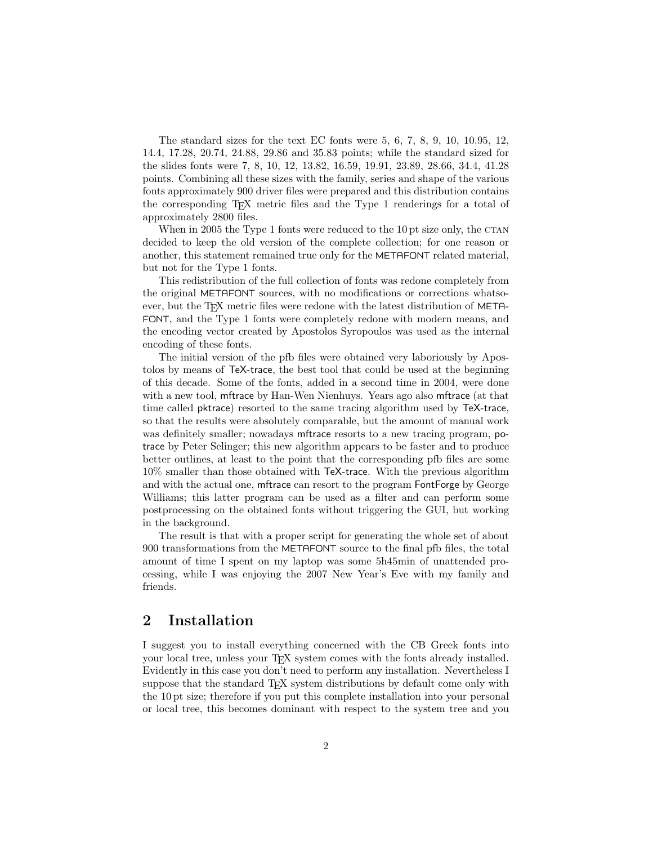The standard sizes for the text EC fonts were 5, 6, 7, 8, 9, 10, 10.95, 12, 14.4, 17.28, 20.74, 24.88, 29.86 and 35.83 points; while the standard sized for the slides fonts were 7, 8, 10, 12, 13.82, 16.59, 19.91, 23.89, 28.66, 34.4, 41.28 points. Combining all these sizes with the family, series and shape of the various fonts approximately 900 driver files were prepared and this distribution contains the corresponding TEX metric files and the Type 1 renderings for a total of approximately 2800 files.

When in 2005 the Type 1 fonts were reduced to the  $10 \text{ pt size}$  only, the CTAN decided to keep the old version of the complete collection; for one reason or another, this statement remained true only for the METAFONT related material, but not for the Type 1 fonts.

This redistribution of the full collection of fonts was redone completely from the original METAFONT sources, with no modifications or corrections whatsoever, but the T<sub>EX</sub> metric files were redone with the latest distribution of META-FONT, and the Type 1 fonts were completely redone with modern means, and the encoding vector created by Apostolos Syropoulos was used as the internal encoding of these fonts.

The initial version of the pfb files were obtained very laboriously by Apostolos by means of TeX-trace, the best tool that could be used at the beginning of this decade. Some of the fonts, added in a second time in 2004, were done with a new tool, mftrace by Han-Wen Nienhuys. Years ago also mftrace (at that time called pktrace) resorted to the same tracing algorithm used by TeX-trace, so that the results were absolutely comparable, but the amount of manual work was definitely smaller; nowadays mftrace resorts to a new tracing program, potrace by Peter Selinger; this new algorithm appears to be faster and to produce better outlines, at least to the point that the corresponding pfb files are some 10% smaller than those obtained with TeX-trace. With the previous algorithm and with the actual one, mftrace can resort to the program FontForge by George Williams; this latter program can be used as a filter and can perform some postprocessing on the obtained fonts without triggering the GUI, but working in the background.

The result is that with a proper script for generating the whole set of about 900 transformations from the METAFONT source to the final pfb files, the total amount of time I spent on my laptop was some 5h45min of unattended processing, while I was enjoying the 2007 New Year's Eve with my family and friends.

### **2 Installation**

I suggest you to install everything concerned with the CB Greek fonts into your local tree, unless your TEX system comes with the fonts already installed. Evidently in this case you don't need to perform any installation. Nevertheless I suppose that the standard T<sub>EX</sub> system distributions by default come only with the 10 pt size; therefore if you put this complete installation into your personal or local tree, this becomes dominant with respect to the system tree and you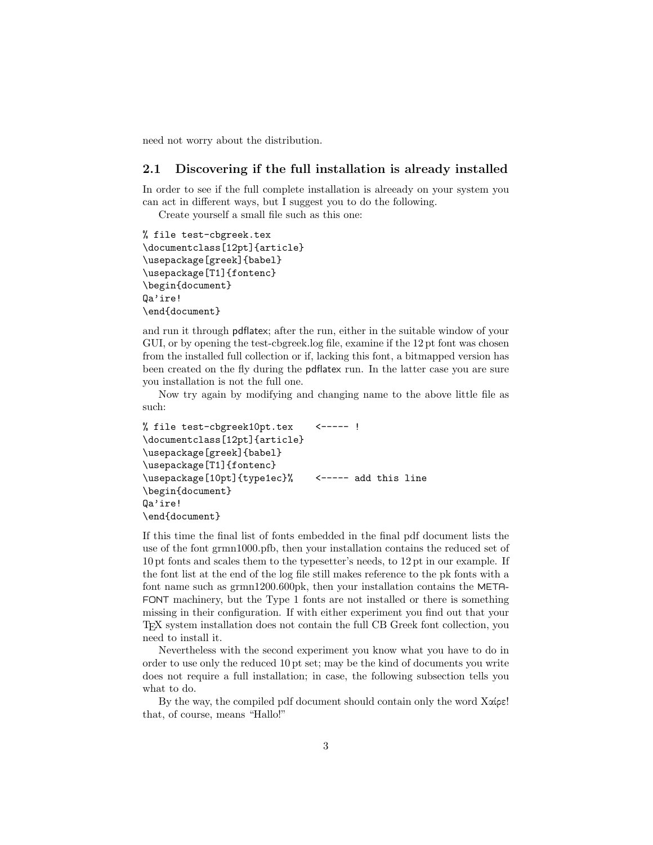need not worry about the distribution.

#### **2.1 Discovering if the full installation is already installed**

In order to see if the full complete installation is alreeady on your system you can act in different ways, but I suggest you to do the following.

Create yourself a small file such as this one:

```
% file test-cbgreek.tex
\documentclass[12pt]{article}
\usepackage[greek]{babel}
\usepackage[T1]{fontenc}
\begin{document}
Qa'ire!
\end{document}
```
and run it through pdflatex; after the run, either in the suitable window of your GUI, or by opening the test-cbgreek.log file, examine if the 12 pt font was chosen from the installed full collection or if, lacking this font, a bitmapped version has been created on the fly during the pdflatex run. In the latter case you are sure you installation is not the full one.

Now try again by modifying and changing name to the above little file as such:

```
% file test-cbgreek10pt.tex <----- !
\documentclass[12pt]{article}
\usepackage[greek]{babel}
\usepackage[T1]{fontenc}
\usepackage[10pt]{type1ec}% <----- add this line
\begin{document}
Qa'ire!
\end{document}
```
If this time the final list of fonts embedded in the final pdf document lists the use of the font grmn1000.pfb, then your installation contains the reduced set of 10 pt fonts and scales them to the typesetter's needs, to 12 pt in our example. If the font list at the end of the log file still makes reference to the pk fonts with a font name such as grmn1200.600pk, then your installation contains the META-FONT machinery, but the Type 1 fonts are not installed or there is something missing in their configuration. If with either experiment you find out that your TEX system installation does not contain the full CB Greek font collection, you need to install it.

Nevertheless with the second experiment you know what you have to do in order to use only the reduced 10 pt set; may be the kind of documents you write does not require a full installation; in case, the following subsection tells you what to do.

By the way, the compiled pdf document should contain only the word Χαίρε! that, of course, means "Hallo!"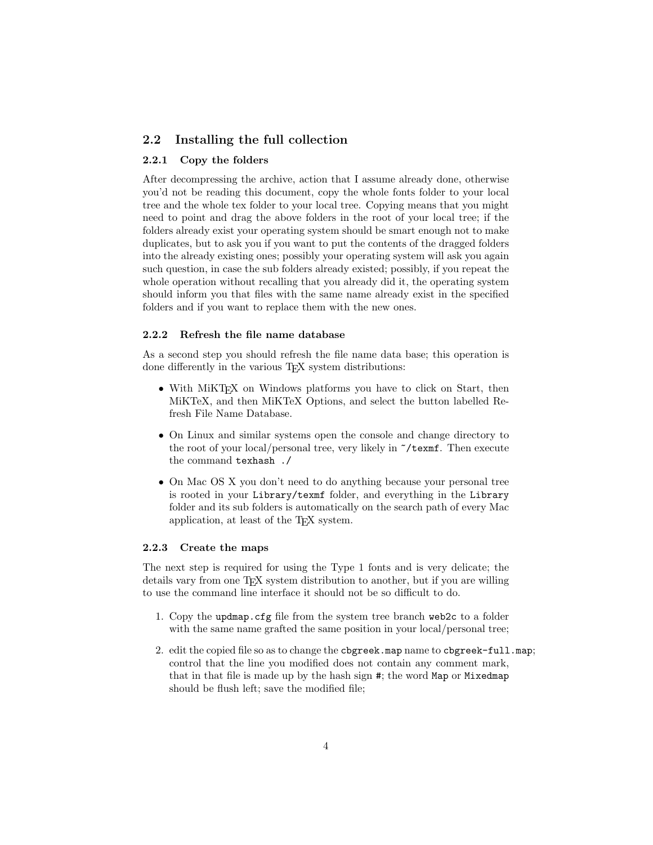#### **2.2 Installing the full collection**

#### **2.2.1 Copy the folders**

After decompressing the archive, action that I assume already done, otherwise you'd not be reading this document, copy the whole fonts folder to your local tree and the whole tex folder to your local tree. Copying means that you might need to point and drag the above folders in the root of your local tree; if the folders already exist your operating system should be smart enough not to make duplicates, but to ask you if you want to put the contents of the dragged folders into the already existing ones; possibly your operating system will ask you again such question, in case the sub folders already existed; possibly, if you repeat the whole operation without recalling that you already did it, the operating system should inform you that files with the same name already exist in the specified folders and if you want to replace them with the new ones.

#### **2.2.2 Refresh the file name database**

As a second step you should refresh the file name data base; this operation is done differently in the various T<sub>EX</sub> system distributions:

- With MiKT<sub>EX</sub> on Windows platforms you have to click on Start, then MiKTeX, and then MiKTeX Options, and select the button labelled Refresh File Name Database.
- *•* On Linux and similar systems open the console and change directory to the root of your local/personal tree, very likely in ~/texmf. Then execute the command texhash ./
- On Mac OS X you don't need to do anything because your personal tree is rooted in your Library/texmf folder, and everything in the Library folder and its sub folders is automatically on the search path of every Mac application, at least of the TEX system.

#### **2.2.3 Create the maps**

The next step is required for using the Type 1 fonts and is very delicate; the details vary from one TEX system distribution to another, but if you are willing to use the command line interface it should not be so difficult to do.

- 1. Copy the updmap.cfg file from the system tree branch web2c to a folder with the same name grafted the same position in your local/personal tree;
- 2. edit the copied file so as to change the cbgreek.map name to cbgreek-full.map; control that the line you modified does not contain any comment mark, that in that file is made up by the hash sign #; the word Map or Mixedmap should be flush left; save the modified file;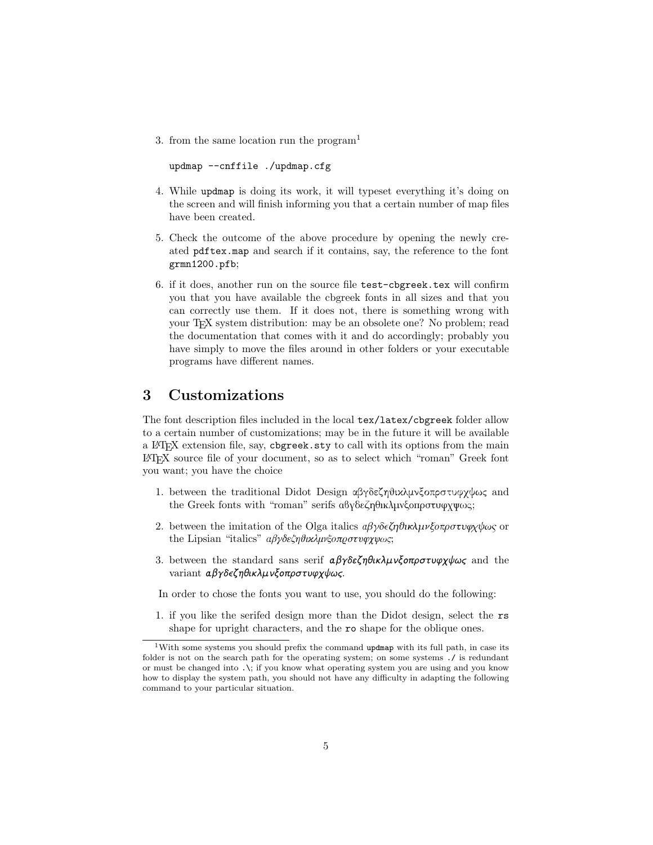3. from the same location run the program<sup>1</sup>

updmap --cnffile ./updmap.cfg

- 4. While updmap is doing its work, it will typeset everything it's doing on the screen and will finish informing you that a certain number of map files have been created.
- 5. Check the outcome of the above procedure by opening the newly created pdftex.map and search if it contains, say, the reference to the font grmn1200.pfb;
- 6. if it does, another run on the source file test-cbgreek.tex will confirm you that you have available the cbgreek fonts in all sizes and that you can correctly use them. If it does not, there is something wrong with your T<sub>E</sub>X system distribution: may be an obsolete one? No problem; read the documentation that comes with it and do accordingly; probably you have simply to move the files around in other folders or your executable programs have different names.

# **3 Customizations**

The font description files included in the local tex/latex/cbgreek folder allow to a certain number of customizations; may be in the future it will be available a LATEX extension file, say, cbgreek.sty to call with its options from the main LATEX source file of your document, so as to select which "roman" Greek font you want; you have the choice

- 1. between the traditional Didot Design αβγδεζηθικλμνξοπρστυφχψως and the Greek fonts with "roman" serifs αβγδεζηθικλμνξοπρστυφχψως;
- 2. between the imitation of the Olga italics  $a\beta\gamma\delta\epsilon\zeta\eta\partial\eta\kappa\lambda\mu\nu\xi\sigma\tau\rho\sigma\tau\nu\varphi\chi\psi\omega\varsigma$  or the Lipsian "italics" αβγδεζηθικλμνξοπρστυφχψως;
- 3. between the standard sans serif  $a\beta\gamma\delta\epsilon\zeta\eta\theta\iota\kappa\lambda\mu\nu\zeta\delta\sigma\tau\nu\varphi\chi\psi\omega\zeta$  and the variant αβγδεζηθικλμνξοπρστυφχψως.

In order to chose the fonts you want to use, you should do the following:

1. if you like the serifed design more than the Didot design, select the rs shape for upright characters, and the ro shape for the oblique ones.

<sup>&</sup>lt;sup>1</sup>With some systems you should prefix the command updmap with its full path, in case its folder is not on the search path for the operating system; on some systems ./ is redundant or must be changed into .\; if you know what operating system you are using and you know how to display the system path, you should not have any difficulty in adapting the following command to your particular situation.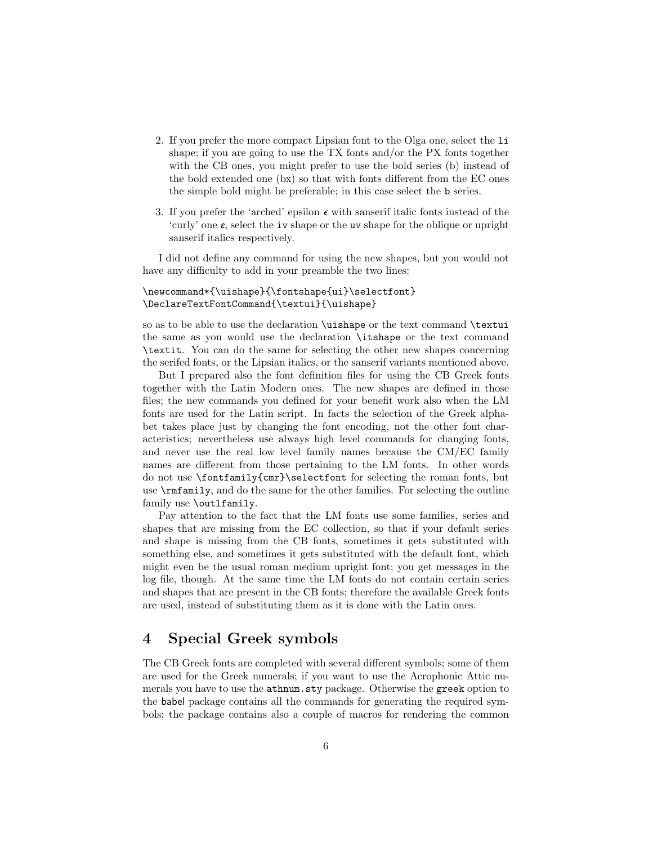- 2. If you prefer the more compact Lipsian font to the Olga one, select the li shape; if you are going to use the TX fonts and/or the PX fonts together with the CB ones, you might prefer to use the bold series (b) instead of the bold extended one (bx) so that with fonts different from the EC ones the simple bold might be preferable; in this case select the b series.
- 3. If you prefer the 'arched' epsilon  $\epsilon$  with sanserif italic fonts instead of the 'curly' one  $\varepsilon$ , select the iv shape or the uv shape for the oblique or upright sanserif italics respectively.

I did not define any command for using the new shapes, but you would not have any difficulty to add in your preamble the two lines:

#### \newcommand\*{\uishape}{\fontshape{ui}\selectfont} \DeclareTextFontCommand{\textui}{\uishape}

so as to be able to use the declaration \uishape or the text command \textui the same as you would use the declaration \itshape or the text command \textit. You can do the same for selecting the other new shapes concerning the serifed fonts, or the Lipsian italics, or the sanserif variants mentioned above.

But I prepared also the font definition files for using the CB Greek fonts together with the Latin Modern ones. The new shapes are defined in those files; the new commands you defined for your benefit work also when the LM fonts are used for the Latin script. In facts the selection of the Greek alphabet takes place just by changing the font encoding, not the other font characteristics; nevertheless use always high level commands for changing fonts, and never use the real low level family names because the CM/EC family names are different from those pertaining to the LM fonts. In other words do not use \fontfamily{cmr}\selectfont for selecting the roman fonts, but use \rmfamily, and do the same for the other families. For selecting the outline family use \outlfamily.

Pay attention to the fact that the LM fonts use some families, series and shapes that are missing from the EC collection, so that if your default series and shape is missing from the CB fonts, sometimes it gets substituted with something else, and sometimes it gets substituted with the default font, which might even be the usual roman medium upright font; you get messages in the log file, though. At the same time the LM fonts do not contain certain series and shapes that are present in the CB fonts; therefore the available Greek fonts are used, instead of substituting them as it is done with the Latin ones.

# **4 Special Greek symbols**

The CB Greek fonts are completed with several different symbols; some of them are used for the Greek numerals; if you want to use the Acrophonic Attic numerals you have to use the athnum.sty package. Otherwise the greek option to the babel package contains all the commands for generating the required symbols; the package contains also a couple of macros for rendering the common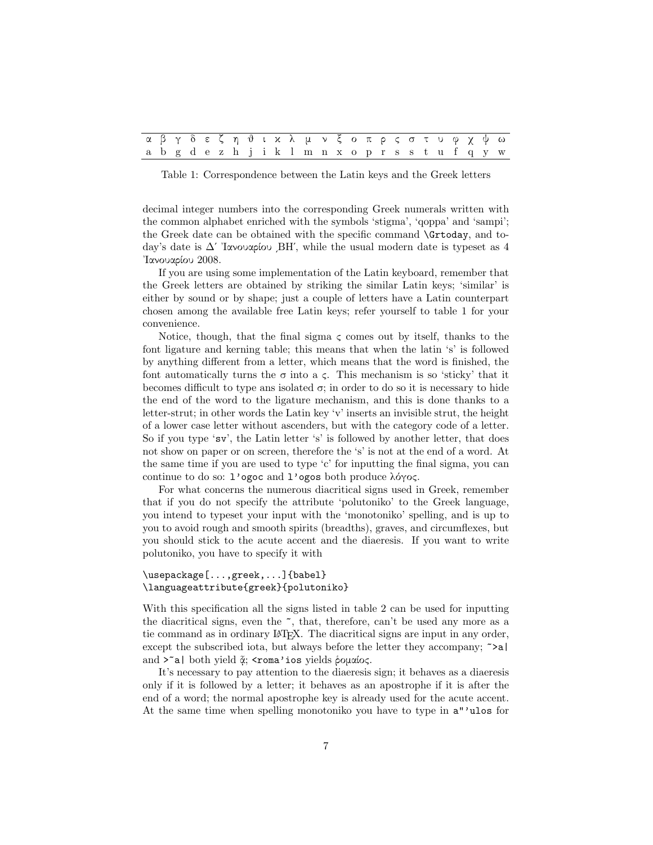|  |  |  |  |  |  |  |  |  |  |  |  | αβγδεζηθικλμνξοπρςστυφχψω                         |
|--|--|--|--|--|--|--|--|--|--|--|--|---------------------------------------------------|
|  |  |  |  |  |  |  |  |  |  |  |  | a b g d e z h j i k l m n x o p r s s t u f q y w |

Table 1: Correspondence between the Latin keys and the Greek letters

decimal integer numbers into the corresponding Greek numerals written with the common alphabet enriched with the symbols 'stigma', 'qoppa' and 'sampi'; the Greek date can be obtained with the specific command \Grtoday, and today's date is Δʹ ᾿Ιανουαρίου ͵ΒΗʹ, while the usual modern date is typeset as 4 ᾿Ιανουαρίου 2008.

If you are using some implementation of the Latin keyboard, remember that the Greek letters are obtained by striking the similar Latin keys; 'similar' is either by sound or by shape; just a couple of letters have a Latin counterpart chosen among the available free Latin keys; refer yourself to table 1 for your convenience.

Notice, though, that the final sigma  $\zeta$  comes out by itself, thanks to the font ligature and kerning table; this means that when the latin 's' is followed by anything different from a letter, which means that the word is finished, the font automatically turns the  $\sigma$  into a  $\varsigma$ . This mechanism is so 'sticky' that it becomes difficult to type ans isolated  $\sigma$ ; in order to do so it is necessary to hide the end of the word to the ligature mechanism, and this is done thanks to a letter-strut; in other words the Latin key 'v' inserts an invisible strut, the height of a lower case letter without ascenders, but with the category code of a letter. So if you type 'sv', the Latin letter 's' is followed by another letter, that does not show on paper or on screen, therefore the 's' is not at the end of a word. At the same time if you are used to type 'c' for inputting the final sigma, you can continue to do so: l'ogoc and l'ogos both produce λόγος.

For what concerns the numerous diacritical signs used in Greek, remember that if you do not specify the attribute 'polutoniko' to the Greek language, you intend to typeset your input with the 'monotoniko' spelling, and is up to you to avoid rough and smooth spirits (breadths), graves, and circumflexes, but you should stick to the acute accent and the diaeresis. If you want to write polutoniko, you have to specify it with

#### \usepackage[...,greek,...]{babel} \languageattribute{greek}{polutoniko}

With this specification all the signs listed in table 2 can be used for inputting the diacritical signs, even the ~, that, therefore, can't be used any more as a tie command as in ordinary LAT<sub>EX</sub>. The diacritical signs are input in any order, except the subscribed iota, but always before the letter they accompany;  $\infty$ a| and >~a| both yield ἆ; <roma'ios yields ῥομαίος.

It's necessary to pay attention to the diaeresis sign; it behaves as a diaeresis only if it is followed by a letter; it behaves as an apostrophe if it is after the end of a word; the normal apostrophe key is already used for the acute accent. At the same time when spelling monotoniko you have to type in a"'ulos for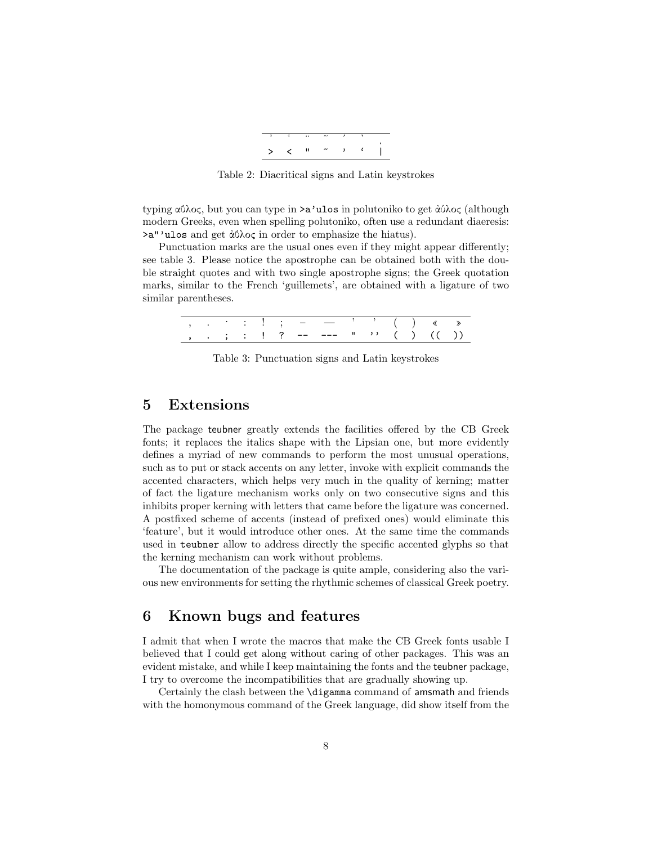

Table 2: Diacritical signs and Latin keystrokes

typing αΰλος, but you can type in >a'ulos in polutoniko to get ἀύλος (although modern Greeks, even when spelling polutoniko, often use a redundant diaeresis: >a"'ulos and get ἀΰλος in order to emphasize the hiatus).

Punctuation marks are the usual ones even if they might appear differently; see table 3. Please notice the apostrophe can be obtained both with the double straight quotes and with two single apostrophe signs; the Greek quotation marks, similar to the French 'guillemets', are obtained with a ligature of two similar parentheses.

|  |  |  | $\frac{1}{2}$ $\frac{1}{2}$ $\frac{1}{2}$ $\frac{1}{2}$ $\frac{1}{2}$ $\frac{1}{2}$ $\frac{1}{2}$ $\frac{1}{2}$ $\frac{1}{2}$ $\frac{1}{2}$ $\frac{1}{2}$ $\frac{1}{2}$ $\frac{1}{2}$ $\frac{1}{2}$ $\frac{1}{2}$ $\frac{1}{2}$ $\frac{1}{2}$ $\frac{1}{2}$ $\frac{1}{2}$ $\frac{1}{2}$ $\frac{1}{2}$ $\frac{1}{2}$ |                               |  |  | $( )$ $\ll$ $\gg$ |  |
|--|--|--|---------------------------------------------------------------------------------------------------------------------------------------------------------------------------------------------------------------------------------------------------------------------------------------------------------------------|-------------------------------|--|--|-------------------|--|
|  |  |  |                                                                                                                                                                                                                                                                                                                     | ; : ! ? -- --- " '' ( ) (( )) |  |  |                   |  |

Table 3: Punctuation signs and Latin keystrokes

### **5 Extensions**

The package teubner greatly extends the facilities offered by the CB Greek fonts; it replaces the italics shape with the Lipsian one, but more evidently defines a myriad of new commands to perform the most unusual operations, such as to put or stack accents on any letter, invoke with explicit commands the accented characters, which helps very much in the quality of kerning; matter of fact the ligature mechanism works only on two consecutive signs and this inhibits proper kerning with letters that came before the ligature was concerned. A postfixed scheme of accents (instead of prefixed ones) would eliminate this 'feature', but it would introduce other ones. At the same time the commands used in teubner allow to address directly the specific accented glyphs so that the kerning mechanism can work without problems.

The documentation of the package is quite ample, considering also the various new environments for setting the rhythmic schemes of classical Greek poetry.

# **6 Known bugs and features**

I admit that when I wrote the macros that make the CB Greek fonts usable I believed that I could get along without caring of other packages. This was an evident mistake, and while I keep maintaining the fonts and the teubner package, I try to overcome the incompatibilities that are gradually showing up.

Certainly the clash between the \digamma command of amsmath and friends with the homonymous command of the Greek language, did show itself from the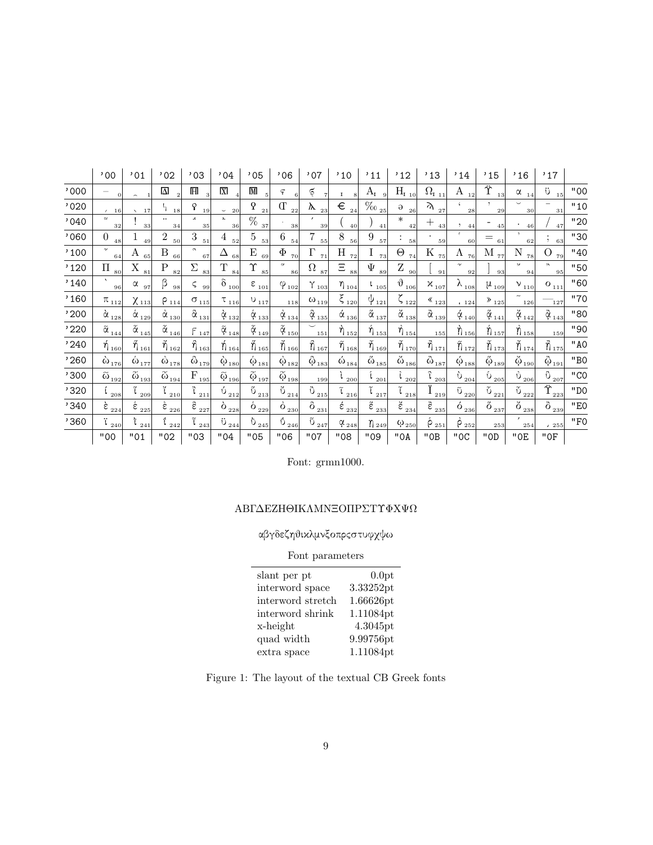|      | ,00                                                     | '01                                             | '02                                            | '03                                               | ,04                                                | ,05                             | .06                                           | ,07                                                               | '10                                      | '11                                            | '12                                                               | '13                                          | '14                                                   | '15                                                          | '16                                                 | '17                                                     |     |
|------|---------------------------------------------------------|-------------------------------------------------|------------------------------------------------|---------------------------------------------------|----------------------------------------------------|---------------------------------|-----------------------------------------------|-------------------------------------------------------------------|------------------------------------------|------------------------------------------------|-------------------------------------------------------------------|----------------------------------------------|-------------------------------------------------------|--------------------------------------------------------------|-----------------------------------------------------|---------------------------------------------------------|-----|
| '000 | $\Omega$                                                | $\overline{\phantom{0}}$                        | Δ<br>$\mathcal{D}$                             | $\mathbb H$                                       | $\overline{X}$                                     | M<br>5                          | F<br>6                                        | ş                                                                 | $\mathbf I$                              | $A_I$                                          | $H_{I_{10}}$                                                      | $\Omega_{\rm I_{\,\_\!\underline{1}1}]}$     | A<br>12                                               | Ϋ<br>13                                                      | $\alpha$<br>14                                      | ΰ<br>15                                                 | "00 |
| '020 | 16                                                      | 17                                              | $\mathfrak{r}_{1}$<br>18                       | P<br>19                                           | 20<br>$\overline{\phantom{0}}$                     | $\Omega$<br>21                  | $\Gamma$<br>22                                | Λ.<br>23                                                          | €<br>24                                  | $\frac{1}{200}$ <sub>25</sub>                  | $\Theta$<br>26                                                    | $\lambda$<br>27                              | 28                                                    | 29                                                           | 30                                                  | 31                                                      | "10 |
| '040 | $\sim$<br>32                                            | 33                                              | <br>34                                         | 35                                                | $\mathbf{A}$<br>36                                 | $\%$<br>37                      | 38                                            | 39                                                                | 40                                       | 41                                             | $\ast$<br>42                                                      | $^{+}$<br>43                                 | 44<br>$\cdot$                                         | 45                                                           | 46                                                  | 47                                                      | "20 |
| '060 | $\overline{0}$<br>48                                    | 49                                              | $\overline{2}$<br>50                           | 3<br>51                                           | 4<br>52                                            | 5<br>53                         | 6<br>54                                       | 7<br>55                                                           | 8<br>56                                  | 9<br>57                                        | 58                                                                | 59                                           | $\epsilon$<br>60                                      | $=$<br>61                                                    | $\cdot$<br>62                                       | $\mathcal{L}$<br>63                                     | "30 |
| '100 | $\sim$<br>64                                            | Α<br>65                                         | B<br>66                                        | $\sim$<br>67                                      | Δ<br>68                                            | E<br>69                         | $\Phi$<br>70                                  | $\Gamma$<br>71                                                    | $\, {\rm H}$<br>72                       | T.<br>73                                       | Θ<br>74                                                           | Κ<br>75                                      | Λ<br>76                                               | М<br>77                                                      | $\overline{N}$<br>78                                | $\overline{O}$<br>79                                    | "40 |
| '120 | П<br>80                                                 | X<br>81                                         | $\mathbf P$<br>82                              | Σ<br>83                                           | $\mathbf T$<br>84                                  | Υ<br>85                         | $\mathbf{v}$<br>86                            | $\Omega$<br>87                                                    | Ξ<br>88                                  | Ψ<br>89                                        | Ζ<br>90                                                           | 91                                           | $\gamma$<br>92                                        | 93                                                           | $\mathcal{U}$<br>94                                 | $\lambda$<br>95                                         | "50 |
| '140 | $\sqrt{2}$<br>96                                        | α<br>97                                         | β<br>98                                        | ς<br>99                                           | $\delta_{\;\;\underline{10}0}$                     | $\varepsilon$ $_{101}$          | $\phi_{102}$                                  | $\gamma$ <sub>103</sub>                                           | $\eta_{104}$                             | $\frac{1}{105}$                                | $\vartheta_{\,\,\underline{106}]}$                                | $x_{107}$                                    | $\lambda_{\,\,\underline{108}^{\mathsf{l}}}$          | $\mu_{109}$                                                  | $v_{110}$                                           | O $_{111}$                                              | "60 |
| '160 | $\pi_{_{112}}$                                          | $\chi_{113}$                                    | $P_{114}$                                      | $\sigma_{_{115}}$                                 | $\tau_{116}$                                       | $0_{117}$                       | 118                                           | $\omega_{\scriptscriptstyle{1\underline{1}\underline{9}}\xspace}$ | $\xi_{_{120}}$                           | $\psi_{121}$                                   | $\zeta_{_{122}}$                                                  | $\left\langle \mathbf{1}_{23} \right\rangle$ | 124                                                   | $\gg$ $_{125}$                                               | $\tilde{}$<br>126                                   | 127                                                     | "70 |
| '200 | $\stackrel{\cdot }{\alpha}_{\underline{128}^{\dagger}}$ | $\stackrel{.}{\alpha}_{\underline{129}^+}$      | $\stackrel{\circ}{\alpha}_{\underline{130}}$ l | $\stackrel{\circ}{\alpha}_{\underline{13}1^1}$    | $\alpha_{132}$                                     | $\mathring{\alpha}_{_{133}}$    | $\mathring{\alpha}_{_{134}}$                  | $\mathfrak{F}_{135}$                                              | $\acute{\alpha}_{\; \underline{136}}$    | $\tilde{\alpha}_{\underline{137}}$             | $\tilde{\alpha}_{\underline{138}}$                                | $\tilde{\alpha}_{\underline{139} \vert}$     | $\acute{\alpha}_{_{140}}$                             | $\mathop{\mathsf{X}}\nolimits_{141}$                         | $\check{\alpha}_{_{142}}$                           | $\hat{\alpha}_{143}$                                    | "80 |
| '220 | $\tilde{\alpha}_{\underline{144}}$                      | $\tilde{\alpha}_{\underline{145}}$              | $\tilde{\alpha}_{\underline{146}^{\dagger}}$   | $\vert\Gamma\vert_{147}\vert$                     | $\tilde{\alpha}_{_{148}}$                          | $\tilde{\alpha}_{_{149}}$       | $\tilde{\alpha}_{_{150}}$                     | 151                                                               | $\eta_{152}$                             | $\mathring{\eta}_{_{153}}$                     | $\mathcal{\mathring{\eta}}_{154}$                                 | 155                                          | $\grave{\eta}$ 156                                    | $\bigcirc$ 157                                               | $\check{\eta}_{158}$                                | 159                                                     | "90 |
| '240 | $\eta_{\scriptscriptstyle 160}$                         | $\breve{\eta}_{161}$                            | $\breve{\eta}_{162}$                           | $\ddot{\eta}_{163}$                               | $\eta_{164}$                                       | $\stackrel{\circ}{\eta}_{165}$  | $\breve{\eta}_{166}$                          | $\hat{\eta}_{167}$                                                | $\mathcal{\mathring{\eta}}_{168}$        | $\tilde{\eta}_{\,\,169}$                       | $\widetilde{\eta}_{170}$                                          | $\ddot{\hat{\eta}}_{171}$                    | $\tilde{\eta}_{\,172}$                                | $\tilde{\eta}_{173}$                                         | $\eta_{\scriptscriptstyle 174}$                     | $\vec{\hat{\eta}}_{175}$                                | "AO |
| '260 | $\omega_{\underline{176}}$                              | $\mathring{\omega}_{\underline{177^{\dagger}}}$ | $\mathring{\omega}_{\underline{178}]}$         | $\mathring{\omega}_{\underline{179}^+}$           | $\dot{\omega}_{180}$                               | $\mathring{\omega}_{_{181}}$    | $\phi_{182}$                                  | $\ddot{\text{\o}}_{_{183}}$                                       | $\omega_{\underline{184}}$               | $\tilde{\omega}_{\underline{185}}$             | $\tilde{\omega}_{\underline{186}^{\dagger}}$                      | $\ddot{\omega}_{\underline{187}^{\dagger}}$  | $\acute{\omega}_{188}$                                | $\breve{\omega}^{\,}_{189}$                                  | $\ddot{\omega}_{190}$                               | $\ddot{\textbf{Q}}_{191}$                               | "BO |
| '300 | $\widetilde{\omega}_{\scriptscriptstyle 192}$           | $\tilde{\omega}_{\underline{193^{\text{l}}}}$   | $\tilde{\omega}_{\underline{19}4^{\text{l}}}$  | F<br>195                                          | $\widetilde{\omega}_{\scriptscriptstyle 196}$      | $\tilde{\varphi}_{_{197}}$      | $\widetilde{\omega}_{\scriptscriptstyle 198}$ | 199                                                               | 200                                      | $\frac{1}{201}$                                | $\frac{1}{202}$                                                   | $\int_{203}$                                 | $\mathfrak{d}_{2\underline{0}4^{\mathfrak{l}}}$       | $\mathring{\mathrm{U}}_{2\underline{0}\mathbf{5}^{\dagger}}$ | $\mathring{\mathrm{U}}_{\underline{206}^{\dagger}}$ | $0$ $_{207^{\scriptscriptstyle\rm I}}$                  | "CO |
| '320 | 208                                                     | ĩ<br>209                                        | 210                                            | $\begin{array}{c} \sqrt[3]{6} \\ 211 \end{array}$ | $\frac{1}{2}$ $\frac{1}{2}$                        | $\mathbbm{v}_{\frac{213}{2}}$   | $\sqrt[3]{\frac{214}{}}$                      | $\ddot{\text{o}}_{\, \underline{215^{\text{l}}}}$                 | 216                                      | $\begin{bmatrix} 1 \\ 217 \end{bmatrix}$       | $\mathfrak{t}_{\,\underline{218 }}$                               | ÷<br>$1_{219}$                               | $\tilde{\upsilon}_{\, \, \underline{220^{\text{l}}}}$ | $\mathfrak{V}_{\, \underline{221} \,}$                       | $\mathfrak{V}_{\,\underline{2221}}$                 | $\overline{\textbf{\textit{\^{Y}}}}_{\underline{2231}}$ | "DO |
| '340 | $\epsilon_{\frac{224}{}}$                               | $\frac{1}{2}$ $\frac{225}{1}$                   | $\dot{\epsilon}_{\underline{226}]}$            | $\frac{8}{2}$ $\frac{227}{1}$                     | $\delta_{\frac{228}{}}$                            | $\delta_{\,\,\underline{229 }}$ | $\dot{\mathrm{o}}_{\, \underline{230}]}$      | $\ddot{\text{o}}_{\, \underline{231}^{\text{i}}}$                 | $\acute{\epsilon}_{\; \underline{232}]}$ | $\overset{\circ}{\epsilon}_{\underline{2331}}$ | $\overline{\overset{2}{\mathcal{E}}}\underline{\overset{234}{-}}$ | $\hat{\epsilon}_{\underline{235} }$          | $6_{\frac{236}{5}}$                                   | $\ddot{o}_{\frac{237}{}}$                                    | $\tilde{\text{o}}_{\frac{238}{2}}$                  | $\ddot{\mathrm{o}}_{\, \underline{239}}$                | "E0 |
| '360 | ï<br>240                                                | $\mathfrak{r}_{\frac{241}{}}$                   | 242                                            | ĩ<br>243                                          | $\ddot{\mathrm{U}}_{\,\underline{244^\mathrm{l}}}$ | $\mathrm{v}_{\frac{245}{}}$     | $\mathring{\mathrm{O}}_{246^{\dagger}}$       | $\tilde{\text{o}}_{\frac{247}{}}$                                 | $\alpha_{248}$                           | $\eta_{249}$                                   | $\omega_{250}$                                                    | $\beta_{251}$                                | $\beta_{252}$                                         | 253                                                          | 254                                                 | 4255                                                    | "F0 |
|      | "00                                                     | "01                                             | "02                                            | "03                                               | "04                                                | "05                             | "06                                           | "07                                                               | "08                                      | "09                                            | "OA                                                               | "0B                                          | "OC                                                   | "OD                                                          | $"$ OE                                              | "0F                                                     |     |

Font: grmn1000.

### ΑΒΓΔΕΖΗΘΙΚΛΜΝΞΟΠΡΣΤΥΦΧΨΩ

# αβγδεζηθικλμνξοπρςστυφχψω

# Font parameters

| slant per pt      | 0.0pt     |
|-------------------|-----------|
| interword space   | 3.33252pt |
| interword stretch | 1.66626pt |
| interword shrink  | 1.11084pt |
| x-height          | 4.3045pt  |
| quad width        | 9.99756pt |
| extra space       | 1.11084pt |

| Figure 1: The layout of the textual CB Greek fonts |  |  |  |
|----------------------------------------------------|--|--|--|
|                                                    |  |  |  |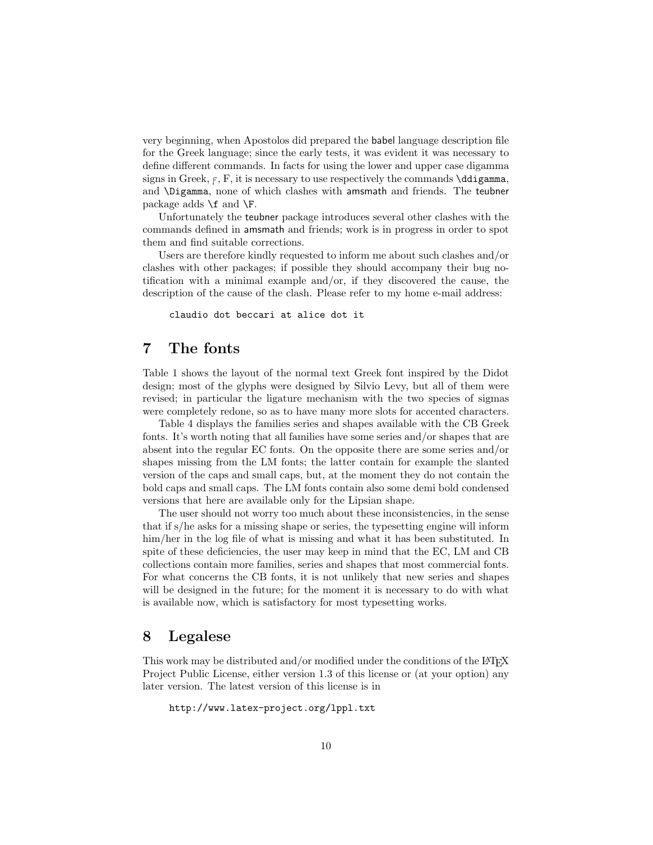very beginning, when Apostolos did prepared the babel language description file for the Greek language; since the early tests, it was evident it was necessary to define different commands. In facts for using the lower and upper case digamma signs in Greek,  $F$ ,  $F$ , it is necessary to use respectively the commands  $\ddot{\text{ddigamma}}$ , and \Digamma, none of which clashes with amsmath and friends. The teubner package adds  $\f$  and  $\F$ .

Unfortunately the teubner package introduces several other clashes with the commands defined in amsmath and friends; work is in progress in order to spot them and find suitable corrections.

Users are therefore kindly requested to inform me about such clashes and/or clashes with other packages; if possible they should accompany their bug notification with a minimal example and/or, if they discovered the cause, the description of the cause of the clash. Please refer to my home e-mail address:

claudio dot beccari at alice dot it

# **7 The fonts**

Table 1 shows the layout of the normal text Greek font inspired by the Didot design; most of the glyphs were designed by Silvio Levy, but all of them were revised; in particular the ligature mechanism with the two species of sigmas were completely redone, so as to have many more slots for accented characters.

Table 4 displays the families series and shapes available with the CB Greek fonts. It's worth noting that all families have some series and/or shapes that are absent into the regular EC fonts. On the opposite there are some series and/or shapes missing from the LM fonts; the latter contain for example the slanted version of the caps and small caps, but, at the moment they do not contain the bold caps and small caps. The LM fonts contain also some demi bold condensed versions that here are available only for the Lipsian shape.

The user should not worry too much about these inconsistencies, in the sense that if s/he asks for a missing shape or series, the typesetting engine will inform him/her in the log file of what is missing and what it has been substituted. In spite of these deficiencies, the user may keep in mind that the EC, LM and CB collections contain more families, series and shapes that most commercial fonts. For what concerns the CB fonts, it is not unlikely that new series and shapes will be designed in the future; for the moment it is necessary to do with what is available now, which is satisfactory for most typesetting works.

### **8 Legalese**

This work may be distributed and/or modified under the conditions of the LATEX Project Public License, either version 1.3 of this license or (at your option) any later version. The latest version of this license is in

http://www.latex-project.org/lppl.txt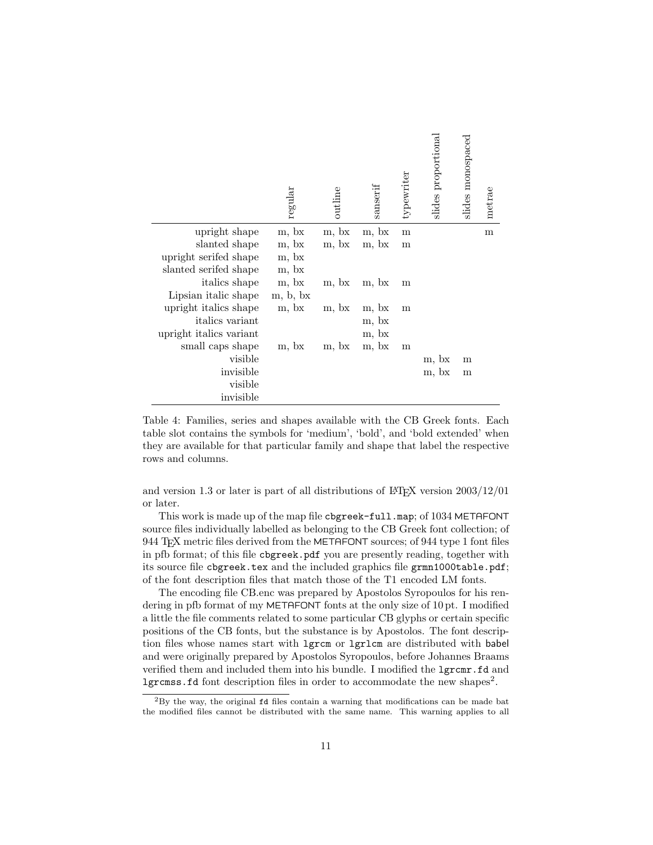|                         | ${\rm regular}$ | outline | sanserif | typewriter | slides proportional | slides monospaced | metrae |
|-------------------------|-----------------|---------|----------|------------|---------------------|-------------------|--------|
| upright shape           | m, bx           | m, bx   | m, bx    | m          |                     |                   | m      |
| slanted shape           | m, bx           | m, bx   | m, bx    | m          |                     |                   |        |
| upright serifed shape   | m, bx           |         |          |            |                     |                   |        |
| slanted serifed shape   | m, bx           |         |          |            |                     |                   |        |
| <i>italics</i> shape    | m, bx           | m, bx   | m, bx    | m          |                     |                   |        |
| Lipsian italic shape    | m, b, bx        |         |          |            |                     |                   |        |
| upright italics shape   | m, bx           | m, bx   | m, bx    | m          |                     |                   |        |
| <i>italics</i> variant  |                 |         | m, bx    |            |                     |                   |        |
| upright italics variant |                 |         | m, bx    |            |                     |                   |        |
| small caps shape        | m, bx           | m, bx   | m, bx    | m          |                     |                   |        |
| visible                 |                 |         |          |            | m, bx               | m                 |        |
| invisible               |                 |         |          |            | m, bx               | m                 |        |
| visible                 |                 |         |          |            |                     |                   |        |
| invisible               |                 |         |          |            |                     |                   |        |

Table 4: Families, series and shapes available with the CB Greek fonts. Each table slot contains the symbols for 'medium', 'bold', and 'bold extended' when they are available for that particular family and shape that label the respective rows and columns.

and version 1.3 or later is part of all distributions of LAT<sub>EX</sub> version  $2003/12/01$ or later.

This work is made up of the map file cbgreek-full.map; of 1034 METAFONT source files individually labelled as belonging to the CB Greek font collection; of 944 T<sub>E</sub>X metric files derived from the METAFONT sources; of 944 type 1 font files in pfb format; of this file cbgreek.pdf you are presently reading, together with its source file cbgreek.tex and the included graphics file grmn1000table.pdf; of the font description files that match those of the T1 encoded LM fonts.

The encoding file CB.enc was prepared by Apostolos Syropoulos for his rendering in pfb format of my METAFONT fonts at the only size of 10 pt. I modified a little the file comments related to some particular CB glyphs or certain specific positions of the CB fonts, but the substance is by Apostolos. The font description files whose names start with lgrcm or lgrlcm are distributed with babel and were originally prepared by Apostolos Syropoulos, before Johannes Braams verified them and included them into his bundle. I modified the  $lgrcmr.fd$  and lgrcmss.fd font description files in order to accommodate the new shapes<sup>2</sup> .

 ${}^{2}$ By the way, the original fd files contain a warning that modifications can be made bat the modified files cannot be distributed with the same name. This warning applies to all